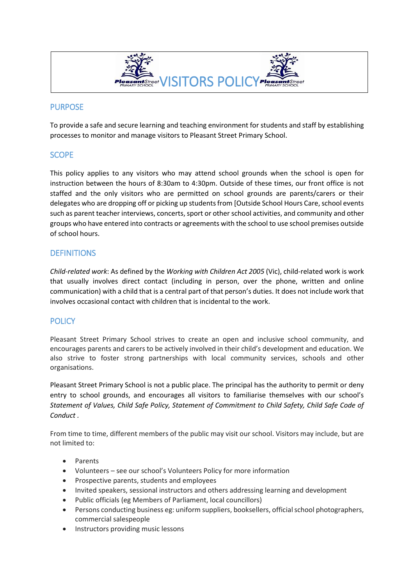

## PURPOSE

To provide a safe and secure learning and teaching environment for students and staff by establishing processes to monitor and manage visitors to Pleasant Street Primary School.

## **SCOPE**

This policy applies to any visitors who may attend school grounds when the school is open for instruction between the hours of 8:30am to 4:30pm. Outside of these times, our front office is not staffed and the only visitors who are permitted on school grounds are parents/carers or their delegates who are dropping off or picking up students from [Outside School Hours Care, school events such as parent teacher interviews, concerts, sport or other school activities, and community and other groups who have entered into contracts or agreements with the school to use school premises outside of school hours.

# **DEFINITIONS**

*Child-related work*: As defined by the *Working with Children Act 2005* (Vic), child-related work is work that usually involves direct contact (including in person, over the phone, written and online communication) with a child that is a central part of that person's duties. It does not include work that involves occasional contact with children that is incidental to the work.

# POLICY

Pleasant Street Primary School strives to create an open and inclusive school community, and encourages parents and carers to be actively involved in their child's development and education. We also strive to foster strong partnerships with local community services, schools and other organisations.

Pleasant Street Primary School is not a public place. The principal has the authority to permit or deny entry to school grounds, and encourages all visitors to familiarise themselves with our school's *Statement of Values, Child Safe Policy, Statement of Commitment to Child Safety, Child Safe Code of Conduct .* 

From time to time, different members of the public may visit our school. Visitors may include, but are not limited to:

- Parents
- Volunteers see our school's Volunteers Policy for more information
- Prospective parents, students and employees
- Invited speakers, sessional instructors and others addressing learning and development
- Public officials (eg Members of Parliament, local councillors)
- Persons conducting business eg: uniform suppliers, booksellers, official school photographers, commercial salespeople
- Instructors providing music lessons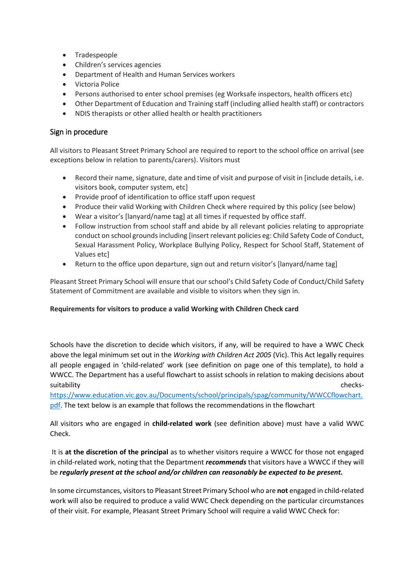- Tradespeople
- Children's services agencies
- Department of Health and Human Services workers
- Victoria Police
- Persons authorised to enter school premises (eg Worksafe inspectors, health officers etc)
- Other Department of Education and Training staff (including allied health staff) or contractors
- NDIS therapists or other allied health or health practitioners

#### Sign in procedure

All visitors to Pleasant Street Primary School are required to report to the school office on arrival (see exceptions below in relation to parents/carers). Visitors must

- Record their name, signature, date and time of visit and purpose of visit in [include details, i.e. visitors book, computer system, etc]
- Provide proof of identification to office staff upon request
- Produce their valid Working with Children Check where required by this policy (see below)
- Wear a visitor's [lanyard/name tag] at all times if requested by office staff.
- Follow instruction from school staff and abide by all relevant policies relating to appropriate conduct on school grounds including [insert relevant policies eg: Child Safety Code of Conduct, Sexual Harassment Policy, Workplace Bullying Policy, Respect for School Staff, Statement of Values etc]
- Return to the office upon departure, sign out and return visitor's [lanyard/name tag]

Pleasant Street Primary School will ensure that our school's Child Safety Code of Conduct/Child Safety Statement of Commitment are available and visible to visitors when they sign in.

#### **Requirements for visitors to produce a valid Working with Children Check card**

Schools have the discretion to decide which visitors, if any, will be required to have a WWC Check above the legal minimum set out in the *Working with Children Act 2005* (Vic). This Act legally requires all people engaged in 'child-related' work (see definition on page one of this template), to hold a WWCC. The Department has a useful flowchart to assist schools in relation to making decisions about suitability checks-

[https://www.education.vic.gov.au/Documents/school/principals/spag/community/WWCCflowchart.](https://www.education.vic.gov.au/Documents/school/principals/spag/community/WWCCflowchart.pdf) [pdf.](https://www.education.vic.gov.au/Documents/school/principals/spag/community/WWCCflowchart.pdf) The text below is an example that follows the recommendations in the flowchart

All visitors who are engaged in **child-related work** (see definition above) must have a valid WWC Check.

It is **at the discretion of the principal** as to whether visitors require a WWCC for those not engaged in child-related work, noting that the Department *recommends* that visitors have a WWCC if they will be *regularly present at the school and/or children can reasonably be expected to be present.*

In some circumstances, visitorsto Pleasant Street Primary School who are **not** engaged in child-related work will also be required to produce a valid WWC Check depending on the particular circumstances of their visit. For example, Pleasant Street Primary School will require a valid WWC Check for: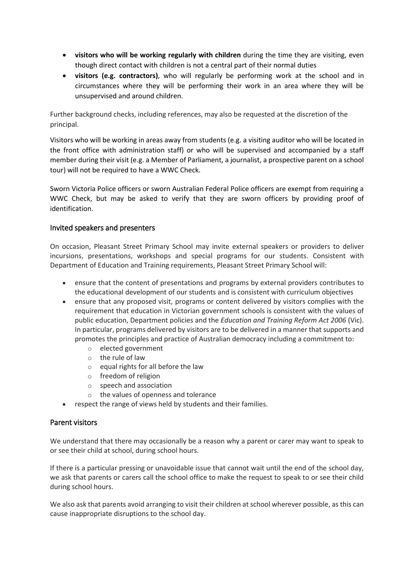- **visitors who will be working regularly with children** during the time they are visiting, even though direct contact with children is not a central part of their normal duties
- **visitors (e.g. contractors)**, who will regularly be performing work at the school and in circumstances where they will be performing their work in an area where they will be unsupervised and around children.

Further background checks, including references, may also be requested at the discretion of the principal.

Visitors who will be working in areas away from students (e.g. a visiting auditor who will be located in the front office with administration staff) or who will be supervised and accompanied by a staff member during their visit (e.g. a Member of Parliament, a journalist, a prospective parent on a school tour) will not be required to have a WWC Check.

Sworn Victoria Police officers or sworn Australian Federal Police officers are exempt from requiring a WWC Check, but may be asked to verify that they are sworn officers by providing proof of identification.

#### Invited speakers and presenters

On occasion, Pleasant Street Primary School may invite external speakers or providers to deliver incursions, presentations, workshops and special programs for our students. Consistent with Department of Education and Training requirements, Pleasant Street Primary School will:

- ensure that the content of presentations and programs by external providers contributes to the educational development of our students and is consistent with curriculum objectives
- ensure that any proposed visit, programs or content delivered by visitors complies with the requirement that education in Victorian government schools is consistent with the values of public education, Department policies and the *Education and Training Reform Act 2006* (Vic). In particular, programs delivered by visitors are to be delivered in a manner that supports and promotes the principles and practice of Australian democracy including a commitment to:
	- o elected government
	- o the rule of law
	- o equal rights for all before the law
	- o freedom of religion
	- o speech and association
	- o the values of openness and tolerance
- respect the range of views held by students and their families.

# Parent visitors

We understand that there may occasionally be a reason why a parent or carer may want to speak to or see their child at school, during school hours.

If there is a particular pressing or unavoidable issue that cannot wait until the end of the school day, we ask that parents or carers call the school office to make the request to speak to or see their child during school hours.

We also ask that parents avoid arranging to visit their children at school wherever possible, as this can cause inappropriate disruptions to the school day.